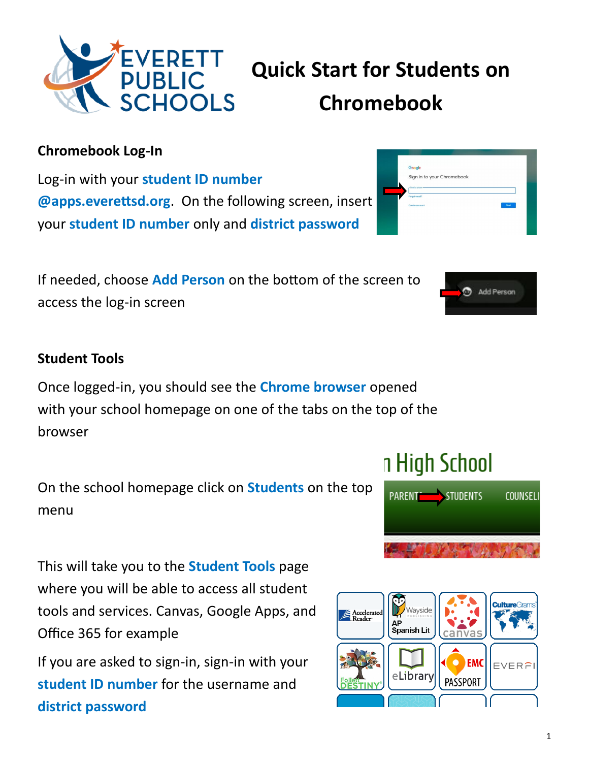

# **Quick Start for Students on Chromebook**

Google

#### **Chromebook Log-In**

Log-in with your **student ID number @apps.everettsd.org**. On the following screen, insert your **student ID number** only and **district password** 

If needed, choose **Add Person** on the bottom of the screen to access the log-in screen

#### **Student Tools**

Once logged-in, you should see the **Chrome browser** opened with your school homepage on one of the tabs on the top of the browser

On the school homepage click on **Students** on the top menu

This will take you to the **Student Tools** page where you will be able to access all student tools and services. Canvas, Google Apps, and Office 365 for example

If you are asked to sign-in, sign-in with your **student ID number** for the username and **district password**

# n High School







Add Person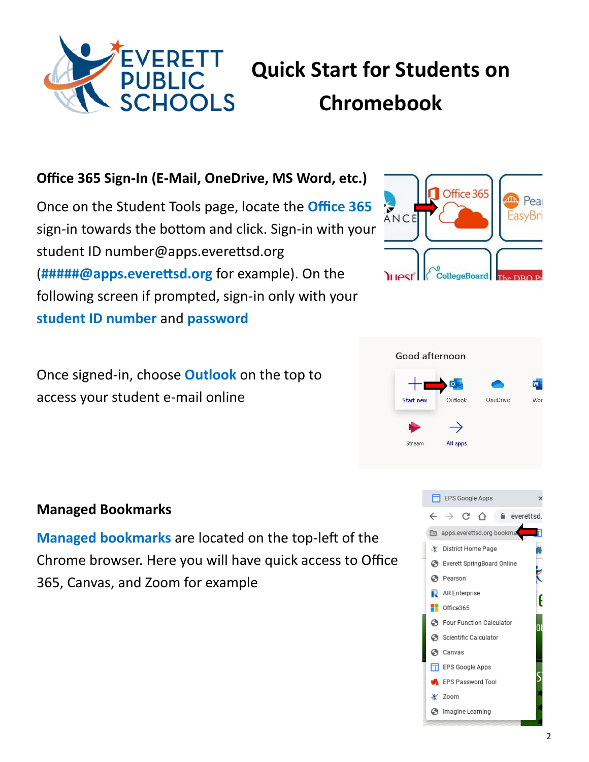

# **Quick Start for Students on Chromebook**

### **Office 365 Sign-In (E-Mail, OneDrive, MS Word, etc.)**

Once on the Student Tools page, locate the **Office 365**  sign-in towards the bottom and click. Sign-in with your student ID number@apps.everettsd.org (**#####@apps.everettsd.org** for example). On the following screen if prompted, sign-in only with your **student ID number** and **password**

Once signed-in, choose **Outlook** on the top to access your student e-mail online

### **Managed Bookmarks**

**Managed bookmarks** are located on the top-left of the Chrome browser. Here you will have quick access to Office 365, Canvas, and Zoom for example